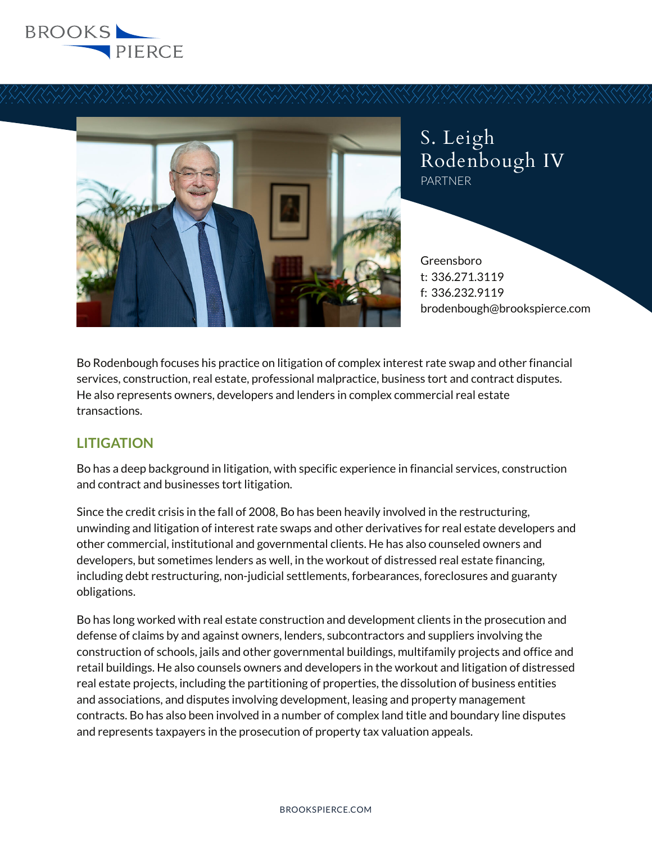



S. Leigh Rodenbough IV PARTNER

Greensboro t: 336.271.3119 f: 336.232.9119 brodenbough@brookspierce.com

Bo Rodenbough focuses his practice on litigation of complex interest rate swap and other financial services, construction, real estate, professional malpractice, business tort and contract disputes. He also represents owners, developers and lenders in complex commercial real estate transactions.

# **LITIGATION**

Bo has a deep background in litigation, with specific experience in financial services, construction and contract and businesses tort litigation.

Since the credit crisis in the fall of 2008, Bo has been heavily involved in the restructuring, unwinding and litigation of interest rate swaps and other derivatives for real estate developers and other commercial, institutional and governmental clients. He has also counseled owners and developers, but sometimes lenders as well, in the workout of distressed real estate financing, including debt restructuring, non-judicial settlements, forbearances, foreclosures and guaranty obligations.

Bo has long worked with real estate construction and development clients in the prosecution and defense of claims by and against owners, lenders, subcontractors and suppliers involving the construction of schools, jails and other governmental buildings, multifamily projects and office and retail buildings. He also counsels owners and developers in the workout and litigation of distressed real estate projects, including the partitioning of properties, the dissolution of business entities and associations, and disputes involving development, leasing and property management contracts. Bo has also been involved in a number of complex land title and boundary line disputes and represents taxpayers in the prosecution of property tax valuation appeals.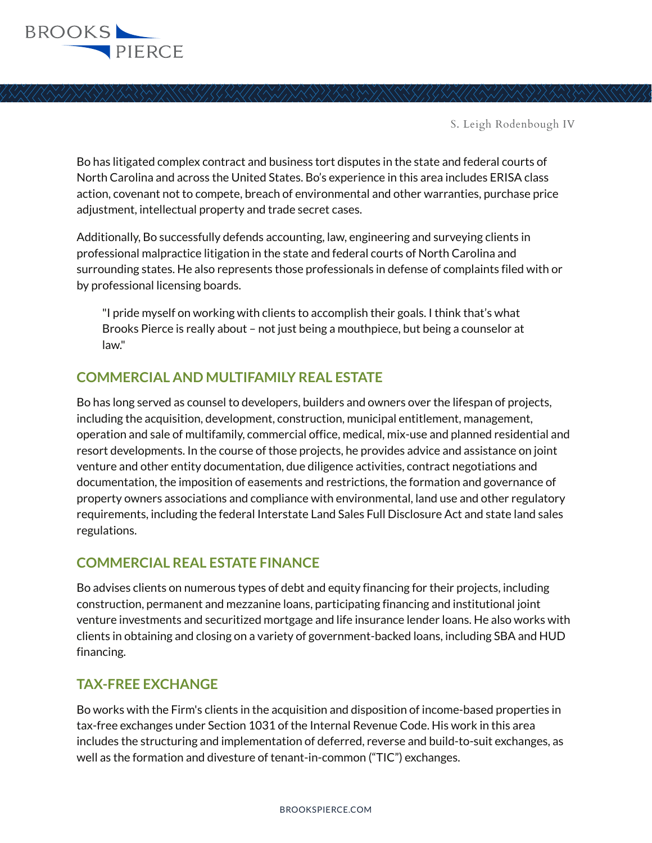

Bo has litigated complex contract and business tort disputes in the state and federal courts of North Carolina and across the United States. Bo's experience in this area includes ERISA class action, covenant not to compete, breach of environmental and other warranties, purchase price adjustment, intellectual property and trade secret cases.

Additionally, Bo successfully defends accounting, law, engineering and surveying clients in professional malpractice litigation in the state and federal courts of North Carolina and surrounding states. He also represents those professionals in defense of complaints filed with or by professional licensing boards.

"I pride myself on working with clients to accomplish their goals. I think that's what Brooks Pierce is really about – not just being a mouthpiece, but being a counselor at law."

## **COMMERCIAL AND MULTIFAMILY REAL ESTATE**

Bo has long served as counsel to developers, builders and owners over the lifespan of projects, including the acquisition, development, construction, municipal entitlement, management, operation and sale of multifamily, commercial office, medical, mix-use and planned residential and resort developments. In the course of those projects, he provides advice and assistance on joint venture and other entity documentation, due diligence activities, contract negotiations and documentation, the imposition of easements and restrictions, the formation and governance of property owners associations and compliance with environmental, land use and other regulatory requirements, including the federal Interstate Land Sales Full Disclosure Act and state land sales regulations.

### **COMMERCIAL REAL ESTATE FINANCE**

Bo advises clients on numerous types of debt and equity financing for their projects, including construction, permanent and mezzanine loans, participating financing and institutional joint venture investments and securitized mortgage and life insurance lender loans. He also works with clients in obtaining and closing on a variety of government-backed loans, including SBA and HUD financing.

### **TAX-FREE EXCHANGE**

Bo works with the Firm's clients in the acquisition and disposition of income-based properties in tax-free exchanges under Section 1031 of the Internal Revenue Code. His work in this area includes the structuring and implementation of deferred, reverse and build-to-suit exchanges, as well as the formation and divesture of tenant-in-common ("TIC") exchanges.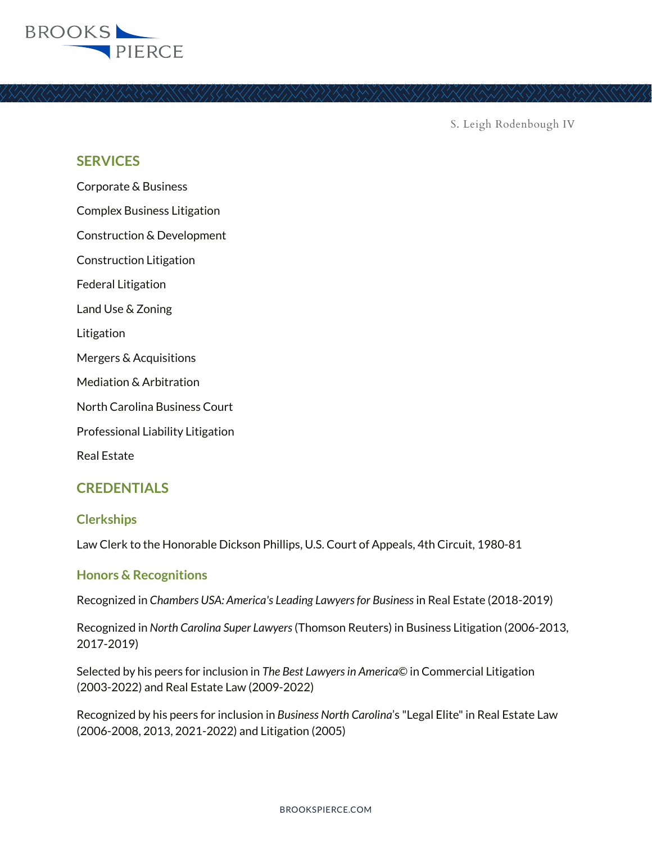

### **SERVICES**

Corporate & Business Complex Business Litigation Construction & Development Construction Litigation Federal Litigation Land Use & Zoning Litigation Mergers & Acquisitions Mediation & Arbitration North Carolina Business Court Professional Liability Litigation

Real Estate

### **CREDENTIALS**

#### **Clerkships**

Law Clerk to the Honorable Dickson Phillips, U.S. Court of Appeals, 4th Circuit, 1980-81

#### **Honors & Recognitions**

Recognized in *Chambers USA: America's Leading Lawyers for Business* in Real Estate (2018-2019)

Recognized in *North Carolina Super Lawyers* (Thomson Reuters) in Business Litigation (2006-2013, 2017-2019)

Selected by his peers for inclusion in *The Best Lawyers in America*© in Commercial Litigation (2003-2022) and Real Estate Law (2009-2022)

Recognized by his peers for inclusion in *Business North Carolina*'s "Legal Elite" in Real Estate Law (2006-2008, 2013, 2021-2022) and Litigation (2005)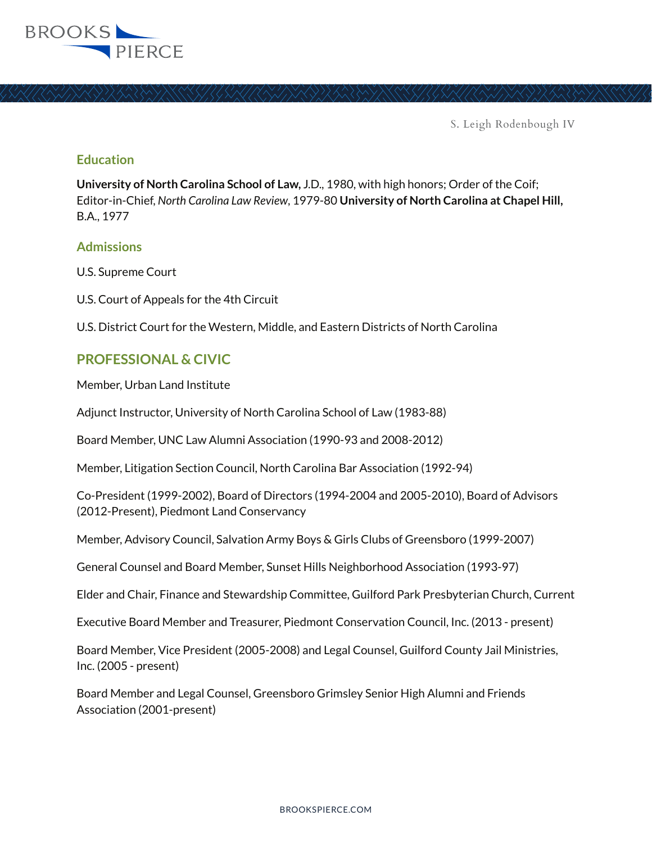

### **Education**

**University of North Carolina School of Law,** J.D., 1980, with high honors; Order of the Coif; Editor-in-Chief, *North Carolina Law Review*, 1979-80 **University of North Carolina at Chapel Hill,**  B.A., 1977

#### **Admissions**

U.S. Supreme Court

U.S. Court of Appeals for the 4th Circuit

U.S. District Court for the Western, Middle, and Eastern Districts of North Carolina

### **PROFESSIONAL & CIVIC**

Member, Urban Land Institute

Adjunct Instructor, University of North Carolina School of Law (1983-88)

Board Member, UNC Law Alumni Association (1990-93 and 2008-2012)

Member, Litigation Section Council, North Carolina Bar Association (1992-94)

Co-President (1999-2002), Board of Directors (1994-2004 and 2005-2010), Board of Advisors (2012-Present), Piedmont Land Conservancy

Member, Advisory Council, Salvation Army Boys & Girls Clubs of Greensboro (1999-2007)

General Counsel and Board Member, Sunset Hills Neighborhood Association (1993-97)

Elder and Chair, Finance and Stewardship Committee, Guilford Park Presbyterian Church, Current

Executive Board Member and Treasurer, Piedmont Conservation Council, Inc. (2013 - present)

Board Member, Vice President (2005-2008) and Legal Counsel, Guilford County Jail Ministries, Inc. (2005 - present)

Board Member and Legal Counsel, Greensboro Grimsley Senior High Alumni and Friends Association (2001-present)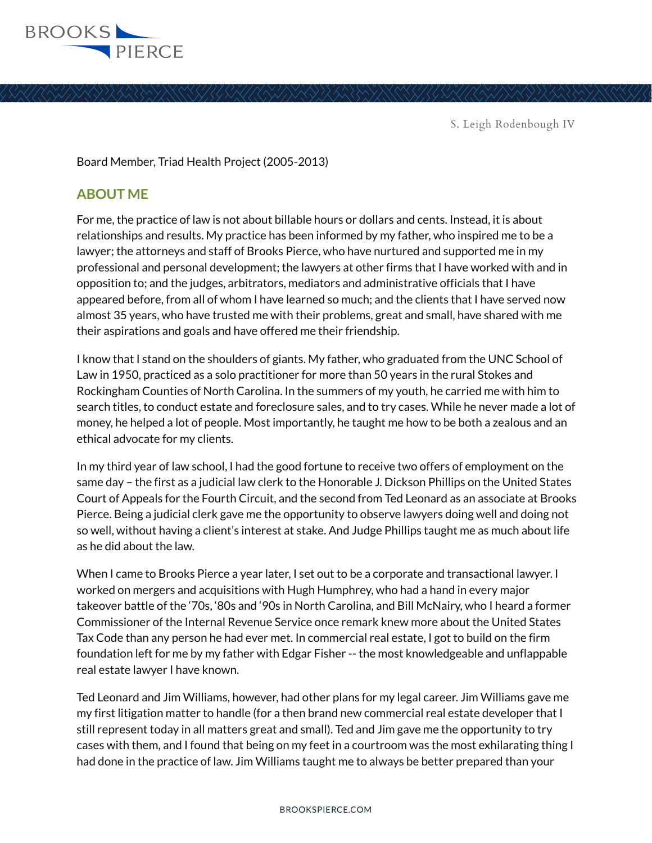

Board Member, Triad Health Project (2005-2013)

## **ABOUT ME**

For me, the practice of law is not about billable hours or dollars and cents. Instead, it is about relationships and results. My practice has been informed by my father, who inspired me to be a lawyer; the attorneys and staff of Brooks Pierce, who have nurtured and supported me in my professional and personal development; the lawyers at other firms that I have worked with and in opposition to; and the judges, arbitrators, mediators and administrative officials that I have appeared before, from all of whom I have learned so much; and the clients that I have served now almost 35 years, who have trusted me with their problems, great and small, have shared with me their aspirations and goals and have offered me their friendship.

I know that I stand on the shoulders of giants. My father, who graduated from the UNC School of Law in 1950, practiced as a solo practitioner for more than 50 years in the rural Stokes and Rockingham Counties of North Carolina. In the summers of my youth, he carried me with him to search titles, to conduct estate and foreclosure sales, and to try cases. While he never made a lot of money, he helped a lot of people. Most importantly, he taught me how to be both a zealous and an ethical advocate for my clients.

In my third year of law school, I had the good fortune to receive two offers of employment on the same day – the first as a judicial law clerk to the Honorable J. Dickson Phillips on the United States Court of Appeals for the Fourth Circuit, and the second from Ted Leonard as an associate at Brooks Pierce. Being a judicial clerk gave me the opportunity to observe lawyers doing well and doing not so well, without having a client's interest at stake. And Judge Phillips taught me as much about life as he did about the law.

When I came to Brooks Pierce a year later, I set out to be a corporate and transactional lawyer. I worked on mergers and acquisitions with Hugh Humphrey, who had a hand in every major takeover battle of the '70s, '80s and '90s in North Carolina, and Bill McNairy, who I heard a former Commissioner of the Internal Revenue Service once remark knew more about the United States Tax Code than any person he had ever met. In commercial real estate, I got to build on the firm foundation left for me by my father with Edgar Fisher -- the most knowledgeable and unflappable real estate lawyer I have known.

Ted Leonard and Jim Williams, however, had other plans for my legal career. Jim Williams gave me my first litigation matter to handle (for a then brand new commercial real estate developer that I still represent today in all matters great and small). Ted and Jim gave me the opportunity to try cases with them, and I found that being on my feet in a courtroom was the most exhilarating thing I had done in the practice of law. Jim Williams taught me to always be better prepared than your